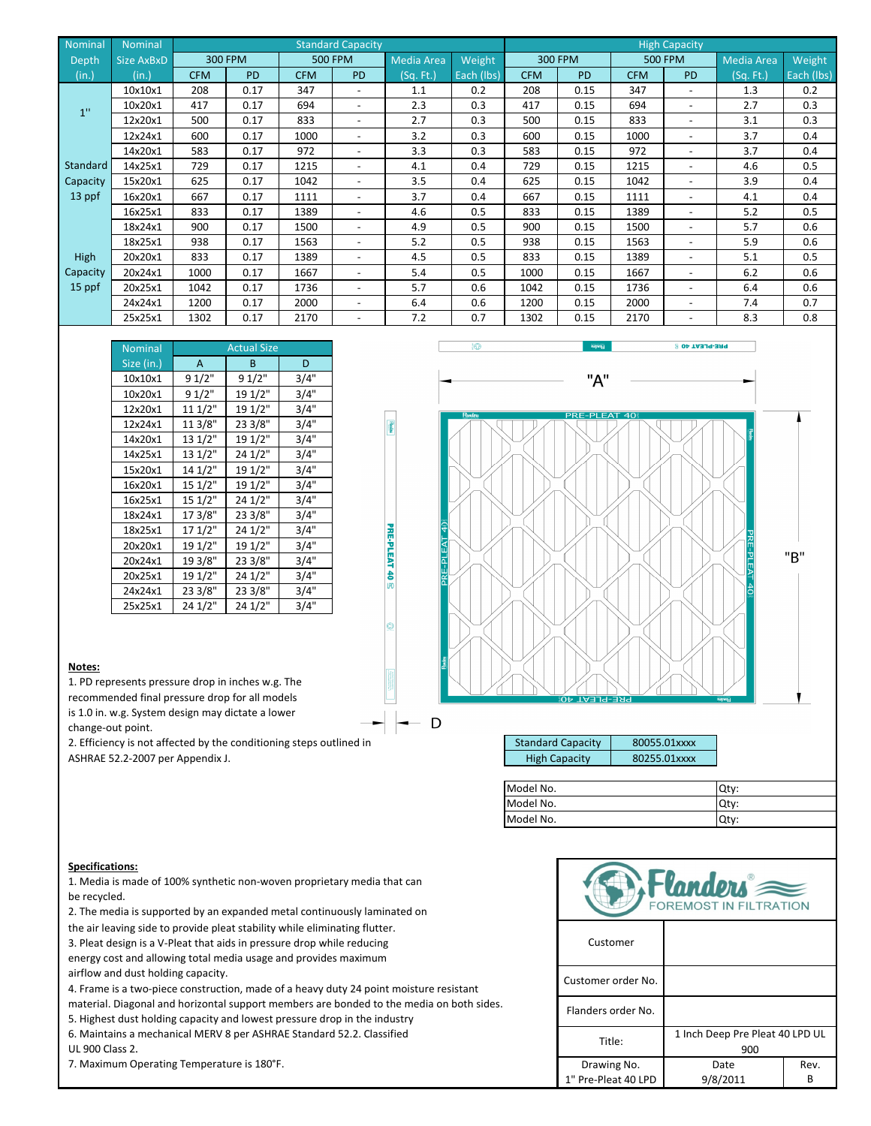| Nominal     | <b>Nominal</b> | <b>Standard Capacity</b> |           |            |                          |            |            |            |                | <b>High Capacity</b> |                          |                   |            |
|-------------|----------------|--------------------------|-----------|------------|--------------------------|------------|------------|------------|----------------|----------------------|--------------------------|-------------------|------------|
| Depth       | Size AxBxD     |                          | 300 FPM   |            | <b>500 FPM</b>           | Media Area | Weight     |            | <b>300 FPM</b> |                      | <b>500 FPM</b>           | <b>Media Area</b> | Weight     |
| (in.)       | (in.)          | <b>CFM</b>               | <b>PD</b> | <b>CFM</b> | <b>PD</b>                | (Sq. Ft.)  | Each (lbs) | <b>CFM</b> | <b>PD</b>      | <b>CFM</b>           | <b>PD</b>                | (Sq. Ft.)         | Each (lbs) |
|             | 10x10x1        | 208                      | 0.17      | 347        | $\overline{\phantom{0}}$ | 1.1        | 0.2        | 208        | 0.15           | 347                  | $\overline{\phantom{0}}$ | 1.3               | 0.2        |
| 1"          | 10x20x1        | 417                      | 0.17      | 694        | -                        | 2.3        | 0.3        | 417        | 0.15           | 694                  | -                        | 2.7               | 0.3        |
|             | 12x20x1        | 500                      | 0.17      | 833        | $\overline{\phantom{0}}$ | 2.7        | 0.3        | 500        | 0.15           | 833                  | -                        | 3.1               | 0.3        |
|             | 12x24x1        | 600                      | 0.17      | 1000       | $\overline{\phantom{0}}$ | 3.2        | 0.3        | 600        | 0.15           | 1000                 | $\overline{\phantom{a}}$ | 3.7               | 0.4        |
|             | 14x20x1        | 583                      | 0.17      | 972        | $\overline{\phantom{0}}$ | 3.3        | 0.3        | 583        | 0.15           | 972                  | -                        | 3.7               | 0.4        |
| Standard    | 14x25x1        | 729                      | 0.17      | 1215       | $\overline{\phantom{0}}$ | 4.1        | 0.4        | 729        | 0.15           | 1215                 | -                        | 4.6               | 0.5        |
| Capacity    | 15x20x1        | 625                      | 0.17      | 1042       | $\overline{\phantom{0}}$ | 3.5        | 0.4        | 625        | 0.15           | 1042                 | $\overline{\phantom{0}}$ | 3.9               | 0.4        |
| 13 ppf      | 16x20x1        | 667                      | 0.17      | 1111       | $\overline{\phantom{0}}$ | 3.7        | 0.4        | 667        | 0.15           | 1111                 | $\overline{\phantom{0}}$ | 4.1               | 0.4        |
|             | 16x25x1        | 833                      | 0.17      | 1389       | $\overline{\phantom{0}}$ | 4.6        | 0.5        | 833        | 0.15           | 1389                 | $\overline{\phantom{0}}$ | 5.2               | 0.5        |
|             | 18x24x1        | 900                      | 0.17      | 1500       | $\overline{\phantom{a}}$ | 4.9        | 0.5        | 900        | 0.15           | 1500                 | -                        | 5.7               | 0.6        |
|             | 18x25x1        | 938                      | 0.17      | 1563       | ۰                        | 5.2        | 0.5        | 938        | 0.15           | 1563                 |                          | 5.9               | 0.6        |
| <b>High</b> | 20x20x1        | 833                      | 0.17      | 1389       |                          | 4.5        | 0.5        | 833        | 0.15           | 1389                 |                          | 5.1               | 0.5        |
| Capacity    | 20x24x1        | 1000                     | 0.17      | 1667       | $\overline{\phantom{a}}$ | 5.4        | 0.5        | 1000       | 0.15           | 1667                 | ۰                        | 6.2               | 0.6        |
| 15 ppf      | 20x25x1        | 1042                     | 0.17      | 1736       | $\overline{\phantom{a}}$ | 5.7        | 0.6        | 1042       | 0.15           | 1736                 | ۰                        | 6.4               | 0.6        |
|             | 24x24x1        | 1200                     | 0.17      | 2000       | -                        | 6.4        | 0.6        | 1200       | 0.15           | 2000                 | -                        | 7.4               | 0.7        |
|             | 25x25x1        | 1302                     | 0.17      | 2170       |                          | 7.2        | 0.7        | 1302       | 0.15           | 2170                 |                          | 8.3               | 0.8        |

PRE-PLEAT 40 S

a

| <b>Nominal</b> |         | <b>Actual Size</b> |      |
|----------------|---------|--------------------|------|
| Size (in.)     | A       | B                  | D    |
| 10x10x1        | 91/2"   | 91/2"              | 3/4" |
| 10x20x1        | 9 1/2"  | 19 1/2"            | 3/4" |
| 12x20x1        | 11 1/2" | 19 1/2"            | 3/4" |
| 12x24x1        | 11 3/8" | 23 3/8"            | 3/4" |
| 14x20x1        | 13 1/2" | 19 1/2"            | 3/4" |
| 14x25x1        | 13 1/2" | 24 1/2"            | 3/4" |
| 15x20x1        | 14 1/2" | 19 1/2"            | 3/4" |
| 16x20x1        | 15 1/2" | 19 1/2"            | 3/4" |
| 16x25x1        | 15 1/2" | 24 1/2"            | 3/4" |
| 18x24x1        | 17 3/8" | 23 3/8"            | 3/4" |
| 18x25x1        | 17 1/2" | 24 1/2"            | 3/4" |
| 20x20x1        | 19 1/2" | 19 1/2"            | 3/4" |
| 20x24x1        | 19 3/8" | 23 3/8"            | 3/4" |
| 20x25x1        | 19 1/2" | 24 1/2"            | 3/4" |
| 24x24x1        | 23 3/8" | 23 3/8"            | 3/4" |
| 25x25x1        | 24 1/2" | 24 1/2"            | 3/4" |



**Notes:**

1. PD represents pressure drop in inches w.g. The

recommended final pressure drop for all models

is 1.0 in. w.g. System design may dictate a lower

change-out point.

2. Efficiency is not affected by the conditioning steps outlined in ASHRAE 52.2-2007 per Appendix J.



| <b>Standard Capacity</b> | 80055.01xxxx |
|--------------------------|--------------|
| <b>High Capacity</b>     | 80255.01xxxx |

| Model No. | Qty: |
|-----------|------|
| Model No. | Qtv: |
| Model No. | Qty: |

## **Specifications:**

1. Media is made of 100% synthetic non-woven proprietary media that can be recycled.

2. The media is supported by an expanded metal continuously laminated on

the air leaving side to provide pleat stability while eliminating flutter.

3. Pleat design is a V-Pleat that aids in pressure drop while reducing energy cost and allowing total media usage and provides maximum airflow and dust holding capacity.

4. Frame is a two-piece construction, made of a heavy duty 24 point moisture resistant

material. Diagonal and horizontal support members are bonded to the media on both sides.

5. Highest dust holding capacity and lowest pressure drop in the industry

6. Maintains a mechanical MERV 8 per ASHRAE Standard 52.2. Classified

UL 900 Class 2.



1" Pre-Pleat 40 LPD 9/8/2011 B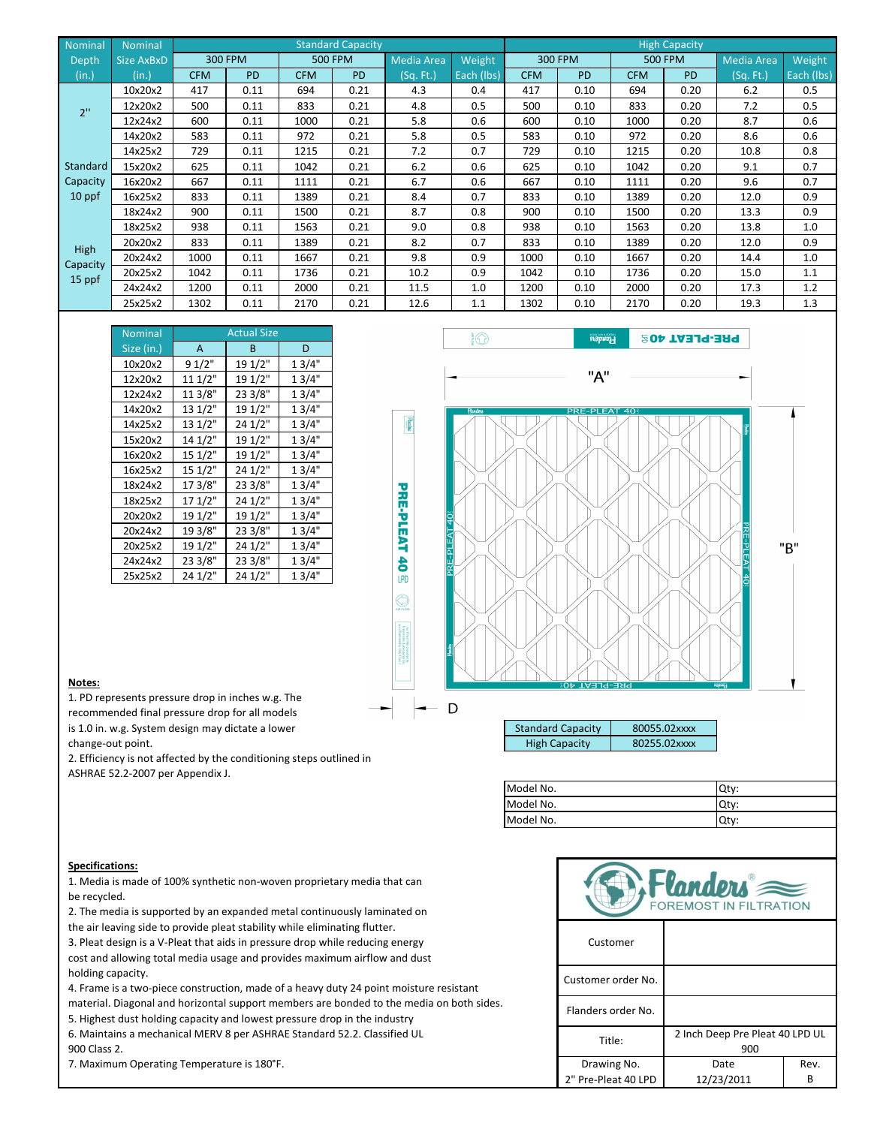| Nominal  | <b>Nominal</b> | <b>Standard Capacity</b> |           |            |                |                   |            | <b>High Capacity</b> |                |            |                |                   |            |
|----------|----------------|--------------------------|-----------|------------|----------------|-------------------|------------|----------------------|----------------|------------|----------------|-------------------|------------|
| Depth    | Size AxBxD     |                          | 300 FPM   |            | <b>500 FPM</b> | <b>Media Area</b> | Weight     |                      | <b>300 FPM</b> |            | <b>500 FPM</b> | <b>Media Area</b> | Weight     |
| (in.)    | (in.)          | <b>CFM</b>               | <b>PD</b> | <b>CFM</b> | <b>PD</b>      | (Sg. Ft.)         | Each (lbs) | <b>CFM</b>           | <b>PD</b>      | <b>CFM</b> | <b>PD</b>      | (Sq. Ft.)         | Each (lbs) |
|          | 10x20x2        | 417                      | 0.11      | 694        | 0.21           | 4.3               | 0.4        | 417                  | 0.10           | 694        | 0.20           | 6.2               | 0.5        |
| 2"       | 12x20x2        | 500                      | 0.11      | 833        | 0.21           | 4.8               | 0.5        | 500                  | 0.10           | 833        | 0.20           | 7.2               | 0.5        |
|          | 12x24x2        | 600                      | 0.11      | 1000       | 0.21           | 5.8               | 0.6        | 600                  | 0.10           | 1000       | 0.20           | 8.7               | 0.6        |
|          | 14x20x2        | 583                      | 0.11      | 972        | 0.21           | 5.8               | 0.5        | 583                  | 0.10           | 972        | 0.20           | 8.6               | 0.6        |
|          | 14x25x2        | 729                      | 0.11      | 1215       | 0.21           | 7.2               | 0.7        | 729                  | 0.10           | 1215       | 0.20           | 10.8              | 0.8        |
| Standard | 15x20x2        | 625                      | 0.11      | 1042       | 0.21           | 6.2               | 0.6        | 625                  | 0.10           | 1042       | 0.20           | 9.1               | 0.7        |
| Capacity | 16x20x2        | 667                      | 0.11      | 1111       | 0.21           | 6.7               | 0.6        | 667                  | 0.10           | 1111       | 0.20           | 9.6               | 0.7        |
| 10 ppf   | 16x25x2        | 833                      | 0.11      | 1389       | 0.21           | 8.4               | 0.7        | 833                  | 0.10           | 1389       | 0.20           | 12.0              | 0.9        |
|          | 18x24x2        | 900                      | 0.11      | 1500       | 0.21           | 8.7               | 0.8        | 900                  | 0.10           | 1500       | 0.20           | 13.3              | 0.9        |
|          | 18x25x2        | 938                      | 0.11      | 1563       | 0.21           | 9.0               | 0.8        | 938                  | 0.10           | 1563       | 0.20           | 13.8              | 1.0        |
| High     | 20x20x2        | 833                      | 0.11      | 1389       | 0.21           | 8.2               | 0.7        | 833                  | 0.10           | 1389       | 0.20           | 12.0              | 0.9        |
| Capacity | 20x24x2        | 1000                     | 0.11      | 1667       | 0.21           | 9.8               | 0.9        | 1000                 | 0.10           | 1667       | 0.20           | 14.4              | 1.0        |
| 15 ppf   | 20x25x2        | 1042                     | 0.11      | 1736       | 0.21           | 10.2              | 0.9        | 1042                 | 0.10           | 1736       | 0.20           | 15.0              | 1.1        |
|          | 24x24x2        | 1200                     | 0.11      | 2000       | 0.21           | 11.5              | 1.0        | 1200                 | 0.10           | 2000       | 0.20           | 17.3              | 1.2        |
|          | 25x25x2        | 1302                     | 0.11      | 2170       | 0.21           | 12.6              | 1.1        | 1302                 | 0.10           | 2170       | 0.20           | 19.3              | 1.3        |

PRE-PLEAT 40

 $\bigcirc$ 

| <b>Nominal</b> |         | <b>Actual Size</b> |       |
|----------------|---------|--------------------|-------|
| Size (in.)     | A       | B                  | D     |
| 10x20x2        | 91/2"   | 19 1/2"            | 13/4" |
| 12x20x2        | 11 1/2" | 19 1/2"            | 13/4" |
| 12x24x2        | 11 3/8" | 23 3/8"            | 13/4" |
| 14x20x2        | 13 1/2" | 19 1/2"            | 13/4" |
| 14x25x2        | 13 1/2" | 24 1/2"            | 13/4" |
| 15x20x2        | 14 1/2" | 19 1/2"            | 13/4" |
| 16x20x2        | 15 1/2" | 19 1/2"            | 13/4" |
| 16x25x2        | 15 1/2" | 24 1/2"            | 13/4" |
| 18x24x2        | 17 3/8" | 23 3/8"            | 13/4" |
| 18x25x2        | 17 1/2" | 24 1/2"            | 13/4" |
| 20x20x2        | 19 1/2" | 19 1/2"            | 13/4" |
| 20x24x2        | 19 3/8" | 23 3/8"            | 13/4" |
| 20x25x2        | 19 1/2" | 24 1/2"            | 13/4" |
| 24x24x2        | 23 3/8" | 23 3/8"            | 13/4" |
| 25x25x2        | 24 1/2" | 24 1/2"            | 13/4" |

| 10                                 | Flanders                            | <b>PRE-PLEAT 40S</b> |                                                             |
|------------------------------------|-------------------------------------|----------------------|-------------------------------------------------------------|
|                                    | "A"                                 |                      |                                                             |
| Flanders<br>PRE-PLEAT 40<br>Honden | <b>PRE-PLEAT 40</b><br>PRE-PLEAT 40 |                      | <u>Fasta</u><br>PRE-PLEAT 40<br>"B"<br><i><b>napoli</b></i> |
| D                                  |                                     |                      |                                                             |
|                                    | <b>Standard Capacity</b>            | 80055.02xxxx         |                                                             |
|                                    | <b>High Capacity</b>                | 80255.02xxxx         |                                                             |

1. PD represents pressure drop in inches w.g. The recommended final pressure drop for all models is 1.0 in. w.g. System design may dictate a lower

change-out point.

2. Efficiency is not affected by the conditioning steps outlined in

ASHRAE 52.2-2007 per Appendix J.

| Model No. | Qty: |
|-----------|------|
| Model No. | Qtv: |
| Model No. | Qty: |

## **Specifications:**

1. Media is made of 100% synthetic non-woven proprietary media that can be recycled.

2. The media is supported by an expanded metal continuously laminated on

the air leaving side to provide pleat stability while eliminating flutter.

3. Pleat design is a V-Pleat that aids in pressure drop while reducing energy cost and allowing total media usage and provides maximum airflow and dust holding capacity.

4. Frame is a two-piece construction, made of a heavy duty 24 point moisture resistant

material. Diagonal and horizontal support members are bonded to the media on both sides.

5. Highest dust holding capacity and lowest pressure drop in the industry

6. Maintains a mechanical MERV 8 per ASHRAE Standard 52.2. Classified UL 900 Class 2.